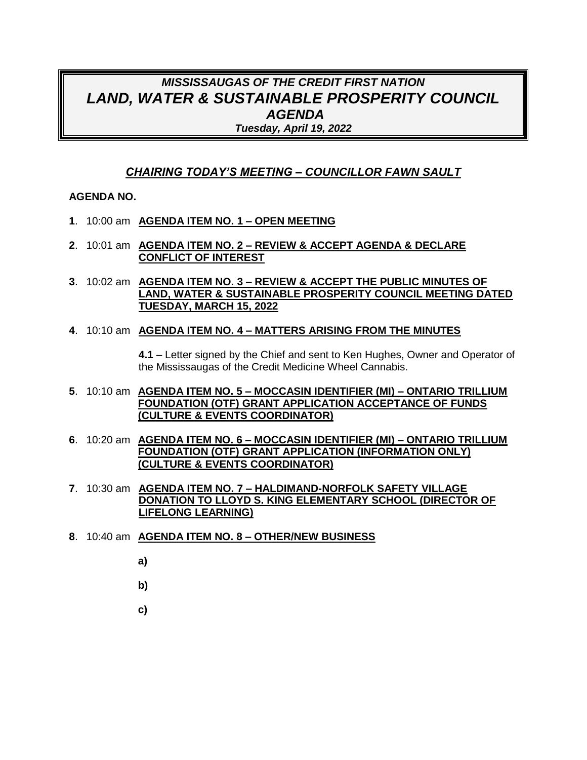# *MISSISSAUGAS OF THE CREDIT FIRST NATION LAND, WATER & SUSTAINABLE PROSPERITY COUNCIL AGENDA Tuesday, April 19, 2022*

### *CHAIRING TODAY'S MEETING – COUNCILLOR FAWN SAULT*

#### **AGENDA NO.**

- **1**. 10:00 am **AGENDA ITEM NO. 1 – OPEN MEETING**
- **2**. 10:01 am **AGENDA ITEM NO. 2 – REVIEW & ACCEPT AGENDA & DECLARE CONFLICT OF INTEREST**
- **3**. 10:02 am **AGENDA ITEM NO. 3 – REVIEW & ACCEPT THE PUBLIC MINUTES OF LAND, WATER & SUSTAINABLE PROSPERITY COUNCIL MEETING DATED TUESDAY, MARCH 15, 2022**

#### **4**. 10:10 am **AGENDA ITEM NO. 4 – MATTERS ARISING FROM THE MINUTES**

**4.1** – Letter signed by the Chief and sent to Ken Hughes, Owner and Operator of the Mississaugas of the Credit Medicine Wheel Cannabis.

- **5**. 10:10 am **AGENDA ITEM NO. 5 – MOCCASIN IDENTIFIER (MI) – ONTARIO TRILLIUM FOUNDATION (OTF) GRANT APPLICATION ACCEPTANCE OF FUNDS (CULTURE & EVENTS COORDINATOR)**
- **6**. 10:20 am **AGENDA ITEM NO. 6 – MOCCASIN IDENTIFIER (MI) – ONTARIO TRILLIUM FOUNDATION (OTF) GRANT APPLICATION (INFORMATION ONLY) (CULTURE & EVENTS COORDINATOR)**
- **7**. 10:30 am **AGENDA ITEM NO. 7 – HALDIMAND-NORFOLK SAFETY VILLAGE DONATION TO LLOYD S. KING ELEMENTARY SCHOOL (DIRECTOR OF LIFELONG LEARNING)**
- **8**. 10:40 am **AGENDA ITEM NO. 8 – OTHER/NEW BUSINESS**
	- **a)**
	- **b)**
	- **c)**